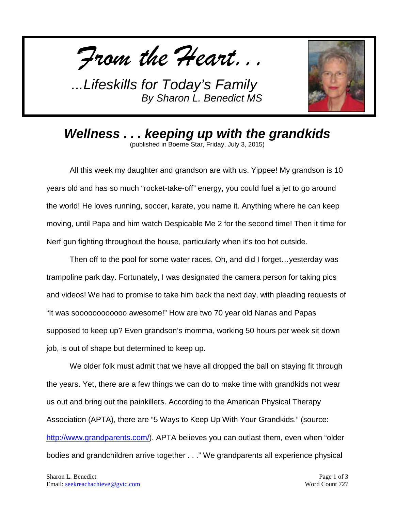*From the Heart...*



*Wellness . . . keeping up with the grandkids* (published in Boerne Star, Friday, July 3, 2015)

All this week my daughter and grandson are with us. Yippee! My grandson is 10 years old and has so much "rocket-take-off" energy, you could fuel a jet to go around the world! He loves running, soccer, karate, you name it. Anything where he can keep moving, until Papa and him watch Despicable Me 2 for the second time! Then it time for Nerf gun fighting throughout the house, particularly when it's too hot outside.

Then off to the pool for some water races. Oh, and did I forget…yesterday was trampoline park day. Fortunately, I was designated the camera person for taking pics and videos! We had to promise to take him back the next day, with pleading requests of "It was soooooooooooo awesome!" How are two 70 year old Nanas and Papas supposed to keep up? Even grandson's momma, working 50 hours per week sit down job, is out of shape but determined to keep up.

We older folk must admit that we have all dropped the ball on staying fit through the years. Yet, there are a few things we can do to make time with grandkids not wear us out and bring out the painkillers. According to the American Physical Therapy Association (APTA), there are "5 Ways to Keep Up With Your Grandkids." (source: [http://www.grandparents.com/\)](http://www.grandparents.com/). APTA believes you can outlast them, even when "older bodies and grandchildren arrive together . . ." We grandparents all experience physical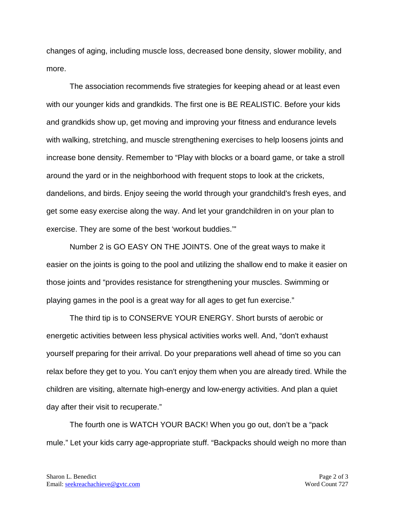changes of aging, including muscle loss, decreased bone density, slower mobility, and more.

The association recommends five strategies for keeping ahead or at least even with our younger kids and grandkids. The first one is BE REALISTIC. Before your kids and grandkids show up, get moving and improving your fitness and endurance levels with walking, stretching, and muscle strengthening exercises to help loosens joints and increase bone density. Remember to "Play with blocks or a board game, or take a stroll around the yard or in the neighborhood with frequent stops to look at the crickets, dandelions, and birds. Enjoy seeing the world through your grandchild's fresh eyes, and get some easy exercise along the way. And let your grandchildren in on your plan to exercise. They are some of the best 'workout buddies.'"

Number 2 is GO EASY ON THE JOINTS. One of the great ways to make it easier on the joints is going to the pool and utilizing the shallow end to make it easier on those joints and "provides resistance for strengthening your muscles. Swimming or playing games in the pool is a great way for all ages to get fun exercise."

The third tip is to CONSERVE YOUR ENERGY. Short bursts of aerobic or energetic activities between less physical activities works well. And, "don't exhaust yourself preparing for their arrival. Do your preparations well ahead of time so you can relax before they get to you. You can't enjoy them when you are already tired. While the children are visiting, alternate high-energy and low-energy activities. And plan a quiet day after their visit to recuperate."

The fourth one is WATCH YOUR BACK! When you go out, don't be a "pack mule." Let your kids carry age-appropriate stuff. "Backpacks should weigh no more than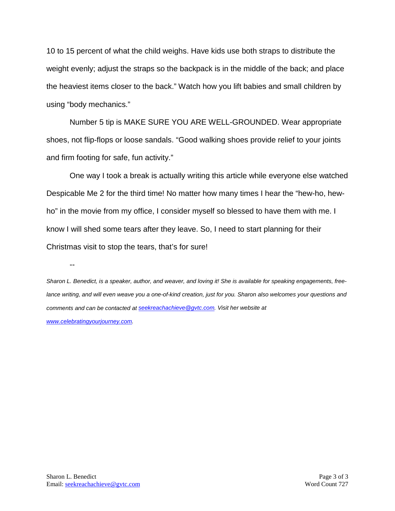10 to 15 percent of what the child weighs. Have kids use both straps to distribute the weight evenly; adjust the straps so the backpack is in the middle of the back; and place the heaviest items closer to the back." Watch how you lift babies and small children by using "body mechanics."

Number 5 tip is MAKE SURE YOU ARE WELL-GROUNDED. Wear appropriate shoes, not flip-flops or loose sandals. "Good walking shoes provide relief to your joints and firm footing for safe, fun activity."

One way I took a break is actually writing this article while everyone else watched Despicable Me 2 for the third time! No matter how many times I hear the "hew-ho, hewho" in the movie from my office, I consider myself so blessed to have them with me. I know I will shed some tears after they leave. So, I need to start planning for their Christmas visit to stop the tears, that's for sure!

--

*Sharon L. Benedict, is a speaker, author, and weaver, and loving it! She is available for speaking engagements, freelance writing, and will even weave you a one-of-kind creation, just for you. Sharon also welcomes your questions and comments and can be contacted a[t seekreachachieve@gvtc.com.](mailto:seekreachachieve@gvtc.com) Visit her website at [www.celebratingyourjourney.com.](http://www.celebratingyourjourney.com/)*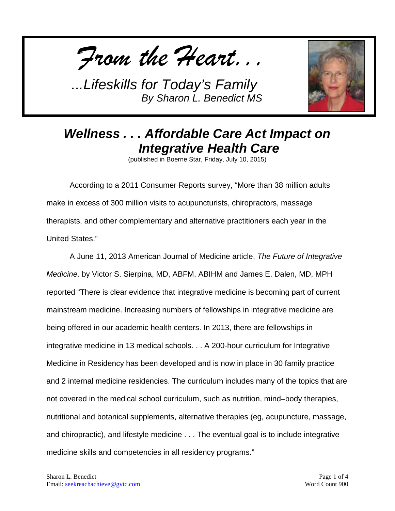*From the Heart...*



## *Wellness . . . Affordable Care Act Impact on Integrative Health Care*

(published in Boerne Star, Friday, July 10, 2015)

According to a 2011 Consumer Reports survey, "More than 38 million adults make in excess of 300 million visits to acupuncturists, chiropractors, massage therapists, and other complementary and alternative practitioners each year in the United States."

A June 11, 2013 American Journal of Medicine article, *The Future of Integrative Medicine,* by Victor S. Sierpina, MD, ABFM, ABIHM and James E. Dalen, MD, MPH reported "There is clear evidence that integrative medicine is becoming part of current mainstream medicine. Increasing numbers of fellowships in integrative medicine are being offered in our academic health centers. In 2013, there are fellowships in integrative medicine in 13 medical schools. . . A 200-hour curriculum for Integrative Medicine in Residency has been developed and is now in place in 30 family practice and 2 internal medicine residencies. The curriculum includes many of the topics that are not covered in the medical school curriculum, such as nutrition, mind–body therapies, nutritional and botanical supplements, alternative therapies (eg, acupuncture, massage, and chiropractic), and lifestyle medicine . . . The eventual goal is to include integrative medicine skills and competencies in all residency programs."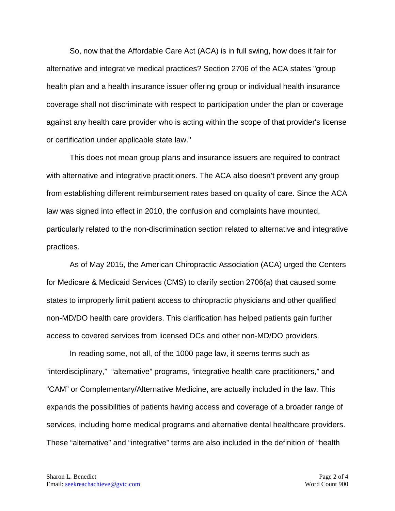So, now that the Affordable Care Act (ACA) is in full swing, how does it fair for alternative and integrative medical practices? Section 2706 of the ACA states "group health plan and a health insurance issuer offering group or individual health insurance coverage shall not discriminate with respect to participation under the plan or coverage against any health care provider who is acting within the scope of that provider's license or certification under applicable state law."

This does not mean group plans and insurance issuers are required to contract with alternative and integrative practitioners. The ACA also doesn't prevent any group from establishing different reimbursement rates based on quality of care. Since the ACA law was signed into effect in 2010, the confusion and complaints have mounted, particularly related to the non-discrimination section related to alternative and integrative practices.

As of May 2015, the American Chiropractic Association (ACA) urged the Centers for Medicare & Medicaid Services (CMS) to clarify section 2706(a) that caused some states to improperly limit patient access to chiropractic physicians and other qualified non-MD/DO health care providers. This clarification has helped patients gain further access to covered services from licensed DCs and other non-MD/DO providers.

In reading some, not all, of the 1000 page law, it seems terms such as "interdisciplinary," "alternative" programs, "integrative health care practitioners," and "CAM" or Complementary/Alternative Medicine, are actually included in the law. This expands the possibilities of patients having access and coverage of a broader range of services, including home medical programs and alternative dental healthcare providers. These "alternative" and "integrative" terms are also included in the definition of "health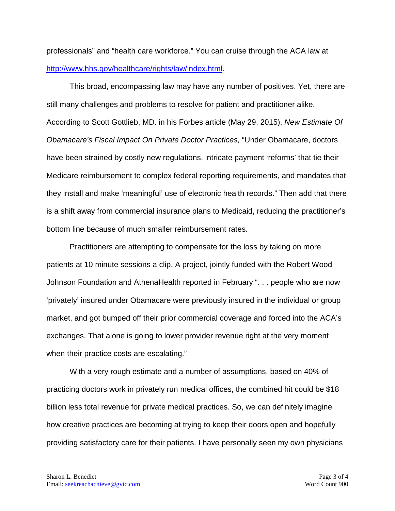professionals" and "health care workforce." You can cruise through the ACA law at [http://www.hhs.gov/healthcare/rights/law/index.html.](http://www.hhs.gov/healthcare/rights/law/index.html)

This broad, encompassing law may have any number of positives. Yet, there are still many challenges and problems to resolve for patient and practitioner alike. According to Scott Gottlieb, MD. in his Forbes article (May 29, 2015), *New Estimate Of Obamacare's Fiscal Impact On Private Doctor Practices,* "Under Obamacare, doctors have been strained by costly new regulations, intricate payment 'reforms' that tie their Medicare reimbursement to complex federal reporting requirements, and mandates that they install and make 'meaningful' use of electronic health records." Then add that there is a shift away from commercial insurance plans to Medicaid, reducing the practitioner's bottom line because of much smaller reimbursement rates.

Practitioners are attempting to compensate for the loss by taking on more patients at 10 minute sessions a clip. A project, jointly funded with the Robert Wood Johnson Foundation and AthenaHealth reported in February ". . . people who are now 'privately' insured under Obamacare were previously insured in the individual or group market, and got bumped off their prior commercial coverage and forced into the ACA's exchanges. That alone is going to lower provider revenue right at the very moment when their practice costs are escalating."

With a very rough estimate and a number of assumptions, based on 40% of practicing doctors work in privately run medical offices, the combined hit could be \$18 billion less total revenue for private medical practices. So, we can definitely imagine how creative practices are becoming at trying to keep their doors open and hopefully providing satisfactory care for their patients. I have personally seen my own physicians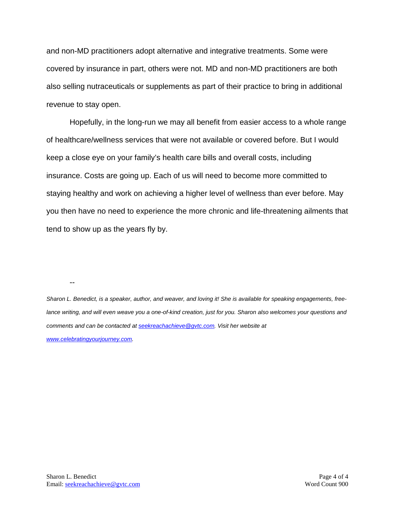and non-MD practitioners adopt alternative and integrative treatments. Some were covered by insurance in part, others were not. MD and non-MD practitioners are both also selling nutraceuticals or supplements as part of their practice to bring in additional revenue to stay open.

Hopefully, in the long-run we may all benefit from easier access to a whole range of healthcare/wellness services that were not available or covered before. But I would keep a close eye on your family's health care bills and overall costs, including insurance. Costs are going up. Each of us will need to become more committed to staying healthy and work on achieving a higher level of wellness than ever before. May you then have no need to experience the more chronic and life-threatening ailments that tend to show up as the years fly by.

--

*Sharon L. Benedict, is a speaker, author, and weaver, and loving it! She is available for speaking engagements, freelance writing, and will even weave you a one-of-kind creation, just for you. Sharon also welcomes your questions and comments and can be contacted a[t seekreachachieve@gvtc.com.](mailto:seekreachachieve@gvtc.com) Visit her website at* 

*[www.celebratingyourjourney.com.](http://www.celebratingyourjourney.com/)*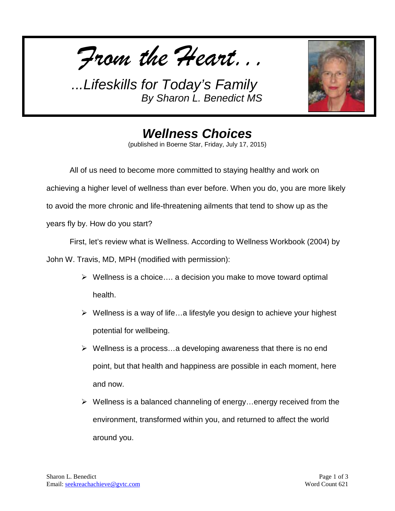*From the Heart...*



*Wellness Choices* (published in Boerne Star, Friday, July 17, 2015)

All of us need to become more committed to staying healthy and work on achieving a higher level of wellness than ever before. When you do, you are more likely to avoid the more chronic and life-threatening ailments that tend to show up as the years fly by. How do you start?

First, let's review what is Wellness. According to Wellness Workbook (2004) by John W. Travis, MD, MPH (modified with permission):

- $\triangleright$  Wellness is a choice.... a decision you make to move toward optimal health.
- $\triangleright$  Wellness is a way of life...a lifestyle you design to achieve your highest potential for wellbeing.
- $\triangleright$  Wellness is a process...a developing awareness that there is no end point, but that health and happiness are possible in each moment, here and now.
- $\triangleright$  Wellness is a balanced channeling of energy...energy received from the environment, transformed within you, and returned to affect the world around you.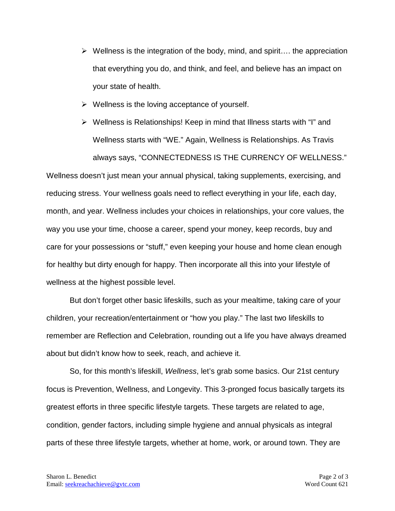- $\triangleright$  Wellness is the integration of the body, mind, and spirit... the appreciation that everything you do, and think, and feel, and believe has an impact on your state of health.
- $\triangleright$  Wellness is the loving acceptance of yourself.
- $\triangleright$  Wellness is Relationships! Keep in mind that Illness starts with "I" and Wellness starts with "WE." Again, Wellness is Relationships. As Travis always says, "CONNECTEDNESS IS THE CURRENCY OF WELLNESS." Wellness doesn't just mean your annual physical, taking supplements, exercising, and reducing stress. Your wellness goals need to reflect everything in your life, each day, month, and year. Wellness includes your choices in relationships, your core values, the way you use your time, choose a career, spend your money, keep records, buy and care for your possessions or "stuff," even keeping your house and home clean enough for healthy but dirty enough for happy. Then incorporate all this into your lifestyle of wellness at the highest possible level.

But don't forget other basic lifeskills, such as your mealtime, taking care of your children, your recreation/entertainment or "how you play." The last two lifeskills to remember are Reflection and Celebration, rounding out a life you have always dreamed about but didn't know how to seek, reach, and achieve it.

So, for this month's lifeskill, *Wellness*, let's grab some basics. Our 21st century focus is Prevention, Wellness, and Longevity. This 3-pronged focus basically targets its greatest efforts in three specific lifestyle targets. These targets are related to age, condition, gender factors, including simple hygiene and annual physicals as integral parts of these three lifestyle targets, whether at home, work, or around town. They are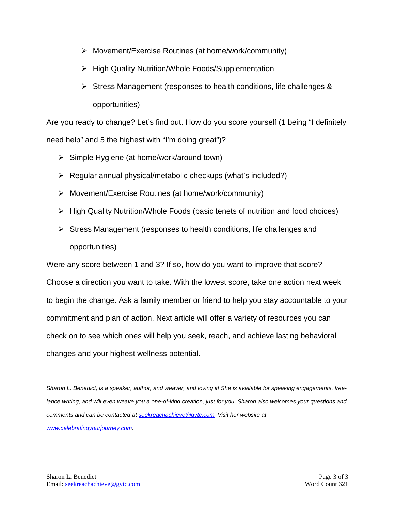- Movement/Exercise Routines (at home/work/community)
- ▶ High Quality Nutrition/Whole Foods/Supplementation
- $\triangleright$  Stress Management (responses to health conditions, life challenges & opportunities)

Are you ready to change? Let's find out. How do you score yourself (1 being "I definitely need help" and 5 the highest with "I'm doing great")?

- $\triangleright$  Simple Hygiene (at home/work/around town)
- $\triangleright$  Regular annual physical/metabolic checkups (what's included?)
- Movement/Exercise Routines (at home/work/community)
- $\triangleright$  High Quality Nutrition/Whole Foods (basic tenets of nutrition and food choices)
- $\triangleright$  Stress Management (responses to health conditions, life challenges and opportunities)

Were any score between 1 and 3? If so, how do you want to improve that score? Choose a direction you want to take. With the lowest score, take one action next week to begin the change. Ask a family member or friend to help you stay accountable to your commitment and plan of action. Next article will offer a variety of resources you can check on to see which ones will help you seek, reach, and achieve lasting behavioral changes and your highest wellness potential.

--

*Sharon L. Benedict, is a speaker, author, and weaver, and loving it! She is available for speaking engagements, free*lance writing, and will even weave you a one-of-kind creation, just for you. Sharon also welcomes your questions and *comments and can be contacted a[t seekreachachieve@gvtc.com.](mailto:seekreachachieve@gvtc.com) Visit her website at [www.celebratingyourjourney.com.](http://www.celebratingyourjourney.com/)*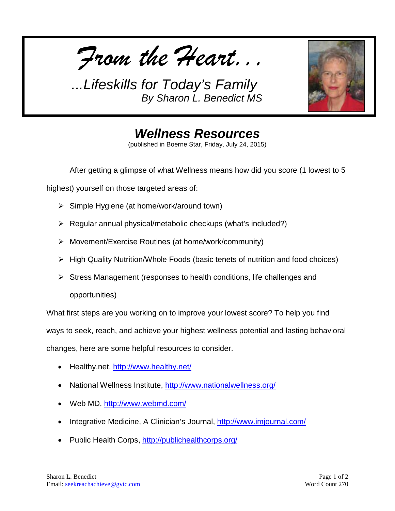*From the Heart...*



*Wellness Resources* (published in Boerne Star, Friday, July 24, 2015)

After getting a glimpse of what Wellness means how did you score (1 lowest to 5

highest) yourself on those targeted areas of:

- $\triangleright$  Simple Hygiene (at home/work/around town)
- $\triangleright$  Regular annual physical/metabolic checkups (what's included?)
- Movement/Exercise Routines (at home/work/community)
- $\triangleright$  High Quality Nutrition/Whole Foods (basic tenets of nutrition and food choices)
- $\triangleright$  Stress Management (responses to health conditions, life challenges and opportunities)

What first steps are you working on to improve your lowest score? To help you find ways to seek, reach, and achieve your highest wellness potential and lasting behavioral changes, here are some helpful resources to consider.

- Healthy.net,<http://www.healthy.net/>
- National Wellness Institute,<http://www.nationalwellness.org/>
- Web MD,<http://www.webmd.com/>
- Integrative Medicine, A Clinician's Journal,<http://www.imjournal.com/>
- Public Health Corps,<http://publichealthcorps.org/>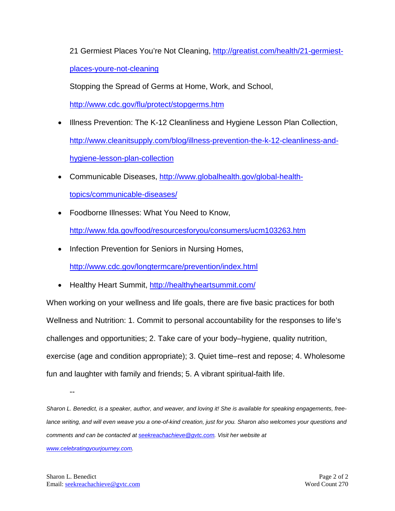21 Germiest Places You're Not Cleaning, [http://greatist.com/health/21-germiest-](http://greatist.com/health/21-germiest-places-youre-not-cleaning)

[places-youre-not-cleaning](http://greatist.com/health/21-germiest-places-youre-not-cleaning)

Stopping the Spread of Germs at Home, Work, and School,

<http://www.cdc.gov/flu/protect/stopgerms.htm>

- Illness Prevention: The K-12 Cleanliness and Hygiene Lesson Plan Collection, [http://www.cleanitsupply.com/blog/illness-prevention-the-k-12-cleanliness-and](http://www.cleanitsupply.com/blog/illness-prevention-the-k-12-cleanliness-and-hygiene-lesson-plan-collection)[hygiene-lesson-plan-collection](http://www.cleanitsupply.com/blog/illness-prevention-the-k-12-cleanliness-and-hygiene-lesson-plan-collection)
- Communicable Diseases, [http://www.globalhealth.gov/global-health](http://www.globalhealth.gov/global-health-topics/communicable-diseases/)[topics/communicable-diseases/](http://www.globalhealth.gov/global-health-topics/communicable-diseases/)
- Foodborne Illnesses: What You Need to Know, <http://www.fda.gov/food/resourcesforyou/consumers/ucm103263.htm>
- Infection Prevention for Seniors in Nursing Homes,

<http://www.cdc.gov/longtermcare/prevention/index.html>

• Healthy Heart Summit,<http://healthyheartsummit.com/>

When working on your wellness and life goals, there are five basic practices for both Wellness and Nutrition: 1. Commit to personal accountability for the responses to life's challenges and opportunities; 2. Take care of your body–hygiene, quality nutrition, exercise (age and condition appropriate); 3. Quiet time–rest and repose; 4. Wholesome fun and laughter with family and friends; 5. A vibrant spiritual-faith life.

*Sharon L. Benedict, is a speaker, author, and weaver, and loving it! She is available for speaking engagements, free*lance writing, and will even weave you a one-of-kind creation, just for you. Sharon also welcomes your questions and *comments and can be contacted a[t seekreachachieve@gvtc.com.](mailto:seekreachachieve@gvtc.com) Visit her website at [www.celebratingyourjourney.com.](http://www.celebratingyourjourney.com/)*

--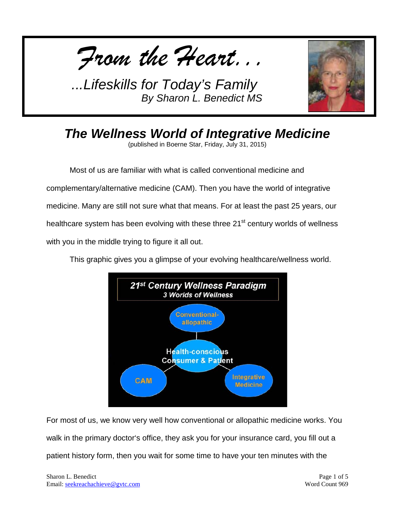*From the Heart...*



*The Wellness World of Integrative Medicine*

(published in Boerne Star, Friday, July 31, 2015)

Most of us are familiar with what is called conventional medicine and complementary/alternative medicine (CAM). Then you have the world of integrative medicine. Many are still not sure what that means. For at least the past 25 years, our healthcare system has been evolving with these three 21<sup>st</sup> century worlds of wellness with you in the middle trying to figure it all out.

This graphic gives you a glimpse of your evolving healthcare/wellness world.



For most of us, we know very well how conventional or allopathic medicine works. You walk in the primary doctor's office, they ask you for your insurance card, you fill out a patient history form, then you wait for some time to have your ten minutes with the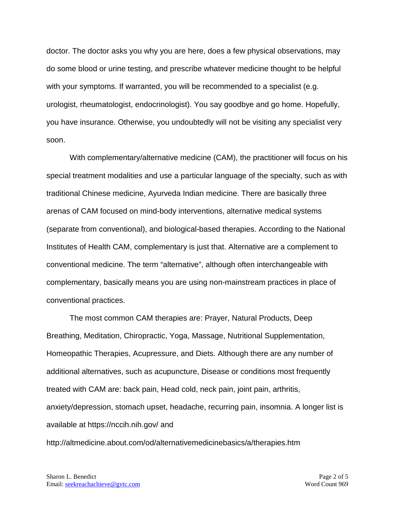doctor. The doctor asks you why you are here, does a few physical observations, may do some blood or urine testing, and prescribe whatever medicine thought to be helpful with your symptoms. If warranted, you will be recommended to a specialist (e.g. urologist, rheumatologist, endocrinologist). You say goodbye and go home. Hopefully, you have insurance. Otherwise, you undoubtedly will not be visiting any specialist very soon.

With complementary/alternative medicine (CAM), the practitioner will focus on his special treatment modalities and use a particular language of the specialty, such as with traditional Chinese medicine, Ayurveda Indian medicine. There are basically three arenas of CAM focused on mind-body interventions, alternative medical systems (separate from conventional), and biological-based therapies. According to the National Institutes of Health CAM, complementary is just that. Alternative are a complement to conventional medicine. The term "alternative", although often interchangeable with complementary, basically means you are using non-mainstream practices in place of conventional practices.

The most common CAM therapies are: Prayer, Natural Products, Deep Breathing, Meditation, Chiropractic, Yoga, Massage, Nutritional Supplementation, Homeopathic Therapies, Acupressure, and Diets. Although there are any number of additional alternatives, such as acupuncture, Disease or conditions most frequently treated with CAM are: back pain, Head cold, neck pain, joint pain, arthritis, anxiety/depression, stomach upset, headache, recurring pain, insomnia. A longer list is available at https://nccih.nih.gov/ and

http://altmedicine.about.com/od/alternativemedicinebasics/a/therapies.htm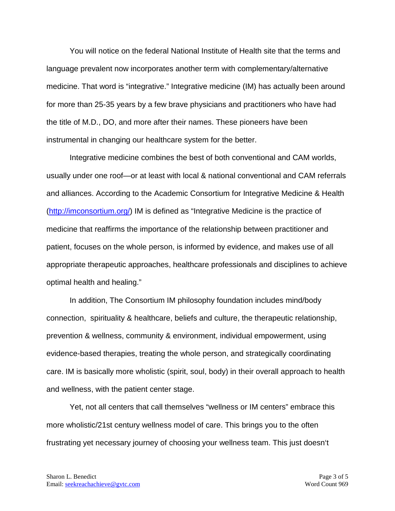You will notice on the federal National Institute of Health site that the terms and language prevalent now incorporates another term with complementary/alternative medicine. That word is "integrative." Integrative medicine (IM) has actually been around for more than 25-35 years by a few brave physicians and practitioners who have had the title of M.D., DO, and more after their names. These pioneers have been instrumental in changing our healthcare system for the better.

Integrative medicine combines the best of both conventional and CAM worlds, usually under one roof—or at least with local & national conventional and CAM referrals and alliances. According to the Academic Consortium for Integrative Medicine & Health [\(http://imconsortium.org/\)](http://imconsortium.org/) IM is defined as "Integrative Medicine is the practice of medicine that reaffirms the importance of the relationship between practitioner and patient, focuses on the whole person, is informed by evidence, and makes use of all appropriate therapeutic approaches, healthcare professionals and disciplines to achieve optimal health and healing."

In addition, The Consortium IM philosophy foundation includes mind/body connection, spirituality & healthcare, beliefs and culture, the therapeutic relationship, prevention & wellness, community & environment, individual empowerment, using evidence-based therapies, treating the whole person, and strategically coordinating care. IM is basically more wholistic (spirit, soul, body) in their overall approach to health and wellness, with the patient center stage.

Yet, not all centers that call themselves "wellness or IM centers" embrace this more wholistic/21st century wellness model of care. This brings you to the often frustrating yet necessary journey of choosing your wellness team. This just doesn't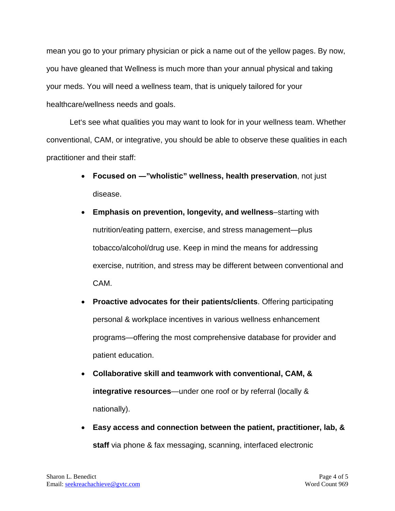mean you go to your primary physician or pick a name out of the yellow pages. By now, you have gleaned that Wellness is much more than your annual physical and taking your meds. You will need a wellness team, that is uniquely tailored for your healthcare/wellness needs and goals.

Let's see what qualities you may want to look for in your wellness team. Whether conventional, CAM, or integrative, you should be able to observe these qualities in each practitioner and their staff:

- **Focused on ―"wholistic" wellness, health preservation**, not just disease.
- **Emphasis on prevention, longevity, and wellness**–starting with nutrition/eating pattern, exercise, and stress management—plus tobacco/alcohol/drug use. Keep in mind the means for addressing exercise, nutrition, and stress may be different between conventional and CAM.
- **Proactive advocates for their patients/clients**. Offering participating personal & workplace incentives in various wellness enhancement programs—offering the most comprehensive database for provider and patient education.
- **Collaborative skill and teamwork with conventional, CAM, & integrative resources**—under one roof or by referral (locally & nationally).
- **Easy access and connection between the patient, practitioner, lab, & staff** via phone & fax messaging, scanning, interfaced electronic